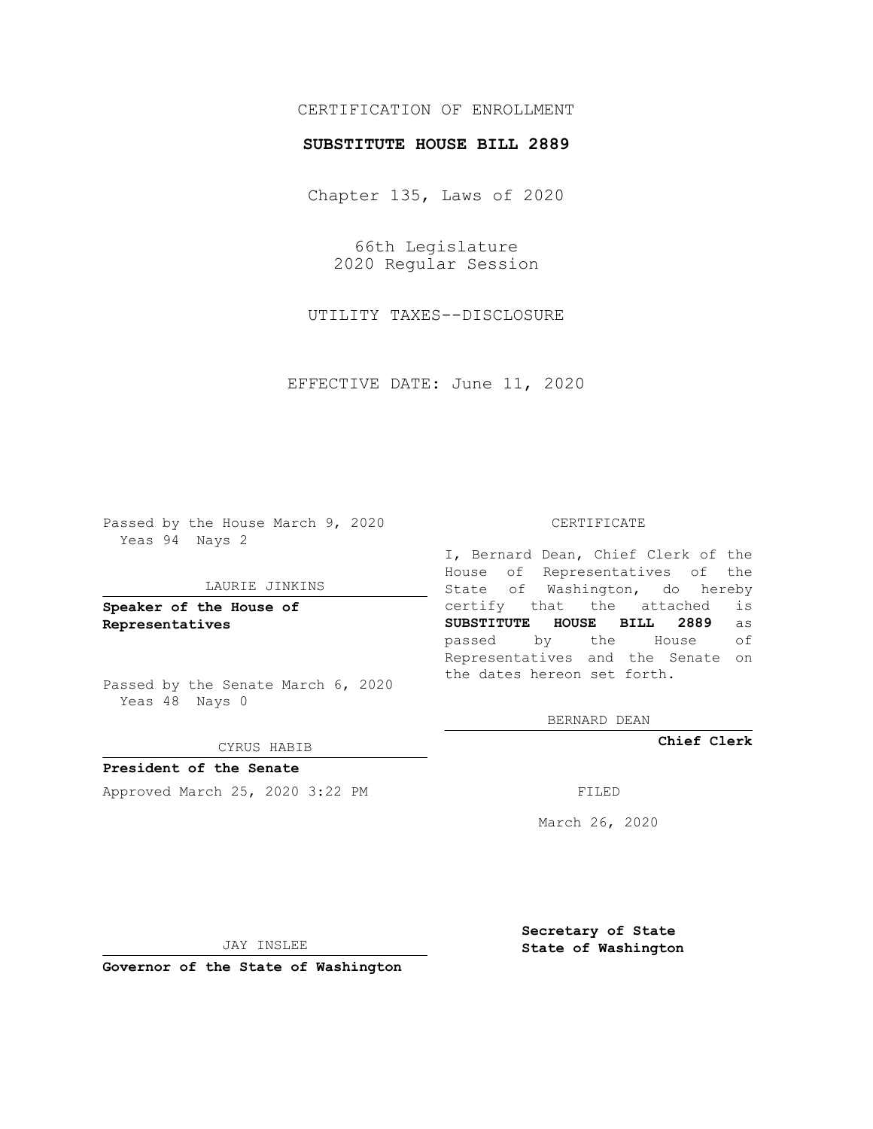## CERTIFICATION OF ENROLLMENT

## **SUBSTITUTE HOUSE BILL 2889**

Chapter 135, Laws of 2020

66th Legislature 2020 Regular Session

UTILITY TAXES--DISCLOSURE

EFFECTIVE DATE: June 11, 2020

Passed by the House March 9, 2020 Yeas 94 Nays 2

#### LAURIE JINKINS

**Speaker of the House of Representatives**

Passed by the Senate March 6, 2020 Yeas 48 Nays 0

#### CYRUS HABIB

**President of the Senate** Approved March 25, 2020 3:22 PM

#### CERTIFICATE

I, Bernard Dean, Chief Clerk of the House of Representatives of the State of Washington, do hereby certify that the attached is **SUBSTITUTE HOUSE BILL 2889** as passed by the House of Representatives and the Senate on the dates hereon set forth.

BERNARD DEAN

**Chief Clerk**

March 26, 2020

JAY INSLEE

**Governor of the State of Washington**

**Secretary of State State of Washington**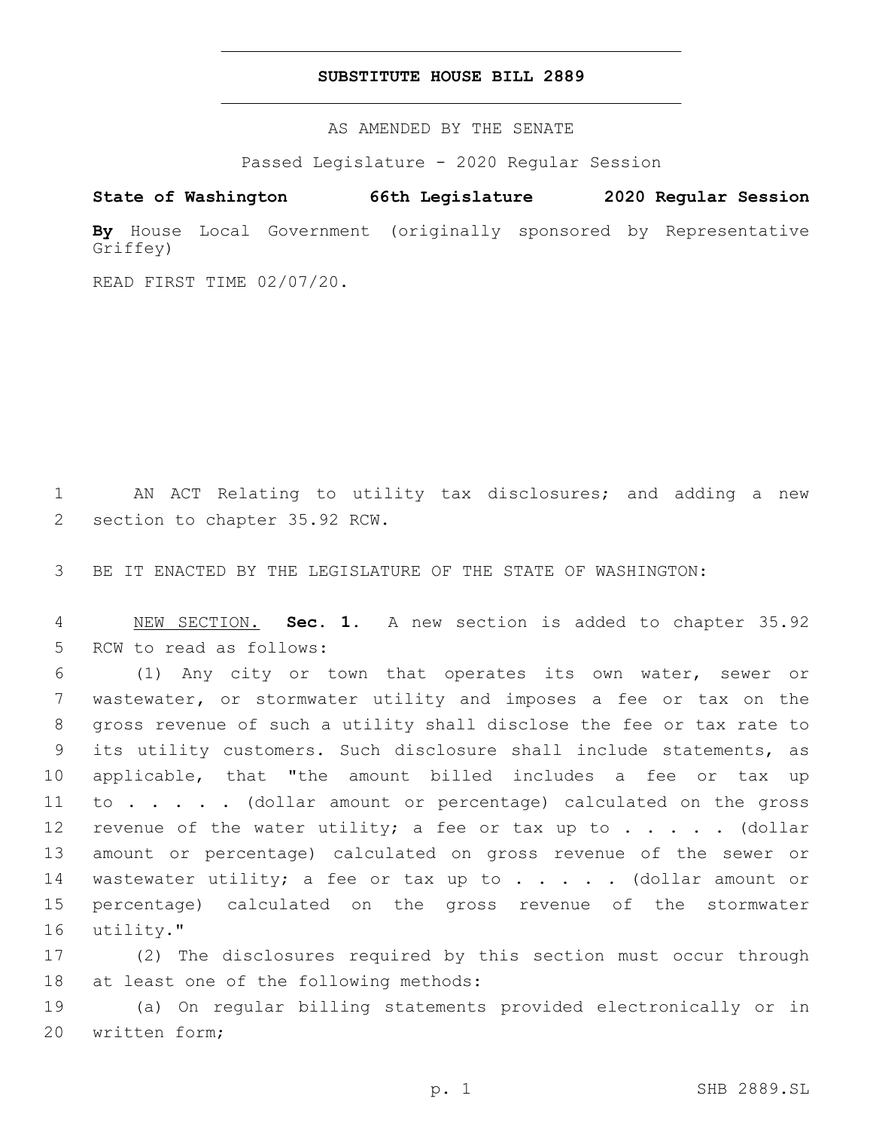### **SUBSTITUTE HOUSE BILL 2889**

AS AMENDED BY THE SENATE

Passed Legislature - 2020 Regular Session

# **State of Washington 66th Legislature 2020 Regular Session**

**By** House Local Government (originally sponsored by Representative Griffey)

READ FIRST TIME 02/07/20.

1 AN ACT Relating to utility tax disclosures; and adding a new 2 section to chapter 35.92 RCW.

3 BE IT ENACTED BY THE LEGISLATURE OF THE STATE OF WASHINGTON:

4 NEW SECTION. **Sec. 1.** A new section is added to chapter 35.92 5 RCW to read as follows:

 (1) Any city or town that operates its own water, sewer or wastewater**,** or stormwater utility and imposes a fee or tax on the gross revenue of such a utility shall disclose the fee or tax rate to its utility customers. Such disclosure shall include statements, as applicable, that "the amount billed includes a fee or tax up 11 to . . . . (dollar amount or percentage) calculated on the gross 12 revenue of the water utility; a fee or tax up to . . . . . (dollar amount or percentage) calculated on gross revenue of the sewer or 14 wastewater utility; a fee or tax up to . . . . . (dollar amount or percentage) calculated on the gross revenue of the stormwater 16 utility."

17 (2) The disclosures required by this section must occur through 18 at least one of the following methods:

19 (a) On regular billing statements provided electronically or in 20 written form;